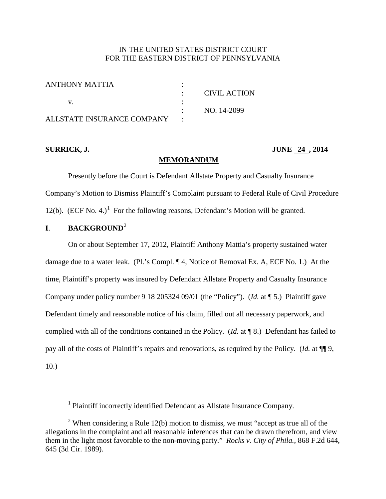## IN THE UNITED STATES DISTRICT COURT FOR THE EASTERN DISTRICT OF PENNSYLVANIA

| ANTHONY MATTIA              |              |
|-----------------------------|--------------|
|                             | CIVIL ACTION |
|                             |              |
|                             | NO. 14-2099  |
| ALL STATE INSURANCE COMPANY |              |

<span id="page-0-0"></span> $\overline{\phantom{a}}$ 

**SURRICK, J. JUNE 24 , 2014**

#### **MEMORANDUM**

Presently before the Court is Defendant Allstate Property and Casualty Insurance Company's Motion to Dismiss Plaintiff's Complaint pursuant to Federal Rule of Civil Procedure [1](#page-0-0)2(b).  $(ECF No. 4.)$ <sup>1</sup> For the following reasons, Defendant's Motion will be granted.

## **I**. **BACKGROUND**[2](#page-0-1)

On or about September 17, 2012, Plaintiff Anthony Mattia's property sustained water damage due to a water leak. (Pl.'s Compl. ¶ 4, Notice of Removal Ex. A, ECF No. 1.) At the time, Plaintiff's property was insured by Defendant Allstate Property and Casualty Insurance Company under policy number 9 18 205324 09/01 (the "Policy"). (*Id.* at ¶ 5.) Plaintiff gave Defendant timely and reasonable notice of his claim, filled out all necessary paperwork, and complied with all of the conditions contained in the Policy. (*Id.* at ¶ 8.) Defendant has failed to pay all of the costs of Plaintiff's repairs and renovations, as required by the Policy. (*Id.* at ¶¶ 9, 10.)

<sup>&</sup>lt;sup>1</sup> Plaintiff incorrectly identified Defendant as Allstate Insurance Company.

<span id="page-0-1"></span><sup>&</sup>lt;sup>2</sup> When considering a Rule 12(b) motion to dismiss, we must "accept as true all of the allegations in the complaint and all reasonable inferences that can be drawn therefrom, and view them in the light most favorable to the non-moving party." *Rocks v. City of Phila.*, 868 F.2d 644, 645 (3d Cir. 1989).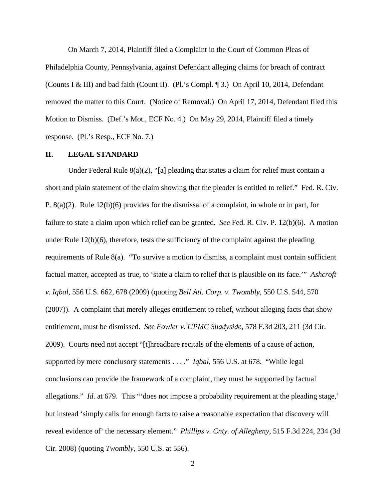On March 7, 2014, Plaintiff filed a Complaint in the Court of Common Pleas of Philadelphia County, Pennsylvania, against Defendant alleging claims for breach of contract (Counts I & III) and bad faith (Count II). (Pl.'s Compl. ¶ 3.) On April 10, 2014, Defendant removed the matter to this Court. (Notice of Removal.) On April 17, 2014, Defendant filed this Motion to Dismiss. (Def.'s Mot., ECF No. 4.) On May 29, 2014, Plaintiff filed a timely response. (Pl.'s Resp., ECF No. 7.)

#### **II. LEGAL STANDARD**

Under Federal Rule  $8(a)(2)$ , "[a] pleading that states a claim for relief must contain a short and plain statement of the claim showing that the pleader is entitled to relief." Fed. R. Civ. P. 8(a)(2). Rule 12(b)(6) provides for the dismissal of a complaint, in whole or in part, for failure to state a claim upon which relief can be granted. *See* Fed. R. Civ. P. 12(b)(6). A motion under Rule  $12(b)(6)$ , therefore, tests the sufficiency of the complaint against the pleading requirements of Rule 8(a). "To survive a motion to dismiss, a complaint must contain sufficient factual matter, accepted as true, to 'state a claim to relief that is plausible on its face.'" *Ashcroft v. Iqbal*, 556 U.S. 662, 678 (2009) (quoting *Bell Atl. Corp. v. Twombly*, 550 U.S. 544, 570 (2007)). A complaint that merely alleges entitlement to relief, without alleging facts that show entitlement, must be dismissed. *See Fowler v. UPMC Shadyside*, 578 F.3d 203, 211 (3d Cir. 2009). Courts need not accept "[t]hreadbare recitals of the elements of a cause of action, supported by mere conclusory statements . . . ." *Iqbal*, 556 U.S. at 678. "While legal conclusions can provide the framework of a complaint, they must be supported by factual allegations." *Id.* at 679. This "'does not impose a probability requirement at the pleading stage,' but instead 'simply calls for enough facts to raise a reasonable expectation that discovery will reveal evidence of' the necessary element." *Phillips v. Cnty. of Allegheny*, 515 F.3d 224, 234 (3d Cir. 2008) (quoting *Twombly*, 550 U.S. at 556).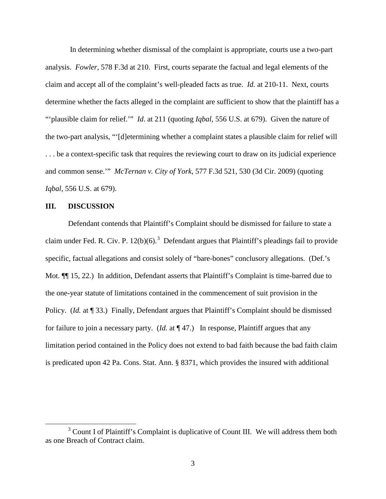In determining whether dismissal of the complaint is appropriate, courts use a two-part analysis. *Fowler*, 578 F.3d at 210. First, courts separate the factual and legal elements of the claim and accept all of the complaint's well-pleaded facts as true. *Id.* at 210-11. Next, courts determine whether the facts alleged in the complaint are sufficient to show that the plaintiff has a "'plausible claim for relief.'" *Id*. at 211 (quoting *Iqbal*, 556 U.S. at 679). Given the nature of the two-part analysis, "'[d]etermining whether a complaint states a plausible claim for relief will . . . be a context-specific task that requires the reviewing court to draw on its judicial experience and common sense.'" *McTernan v. City of York*, 577 F.3d 521, 530 (3d Cir. 2009) (quoting *Iqbal*, 556 U.S. at 679).

#### **III. DISCUSSION**

l

Defendant contends that Plaintiff's Complaint should be dismissed for failure to state a claim under Fed. R. Civ. P.  $12(b)(6)$ .<sup>[3](#page-2-0)</sup> Defendant argues that Plaintiff's pleadings fail to provide specific, factual allegations and consist solely of "bare-bones" conclusory allegations. (Def.'s Mot. ¶¶ 15, 22.) In addition, Defendant asserts that Plaintiff's Complaint is time-barred due to the one-year statute of limitations contained in the commencement of suit provision in the Policy. (*Id.* at ¶ 33.) Finally, Defendant argues that Plaintiff's Complaint should be dismissed for failure to join a necessary party. (*Id.* at ¶ 47.) In response, Plaintiff argues that any limitation period contained in the Policy does not extend to bad faith because the bad faith claim is predicated upon 42 Pa. Cons. Stat. Ann. § 8371, which provides the insured with additional

<span id="page-2-0"></span> $3$  Count I of Plaintiff's Complaint is duplicative of Count III. We will address them both as one Breach of Contract claim.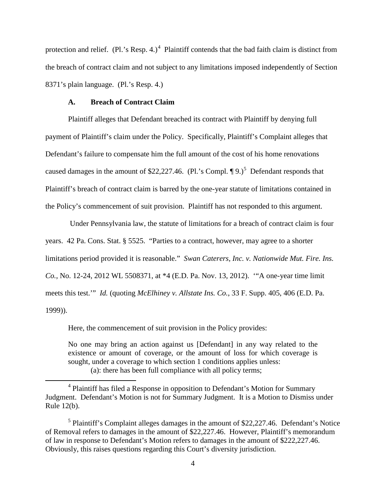protection and relief. (Pl.'s Resp. [4](#page-3-0).)<sup>4</sup> Plaintiff contends that the bad faith claim is distinct from the breach of contract claim and not subject to any limitations imposed independently of Section 8371's plain language. (Pl.'s Resp. 4.)

## **A. Breach of Contract Claim**

l

Plaintiff alleges that Defendant breached its contract with Plaintiff by denying full payment of Plaintiff's claim under the Policy. Specifically, Plaintiff's Complaint alleges that Defendant's failure to compensate him the full amount of the cost of his home renovations caused damages in the amount of \$22,227.46. (Pl.'s Compl.  $\P{9.}$ )<sup>[5](#page-3-1)</sup> Defendant responds that Plaintiff's breach of contract claim is barred by the one-year statute of limitations contained in the Policy's commencement of suit provision. Plaintiff has not responded to this argument.

Under Pennsylvania law, the statute of limitations for a breach of contract claim is four years. 42 Pa. Cons. Stat. § 5525. "Parties to a contract, however, may agree to a shorter limitations period provided it is reasonable." *Swan Caterers, Inc. v. Nationwide Mut. Fire. Ins. Co.*, No. 12-24, 2012 WL 5508371, at \*4 (E.D. Pa. Nov. 13, 2012). '"A one-year time limit meets this test.'" *Id.* (quoting *McElhiney v. Allstate Ins. Co.*, 33 F. Supp. 405, 406 (E.D. Pa. 1999)).

Here, the commencement of suit provision in the Policy provides:

No one may bring an action against us [Defendant] in any way related to the existence or amount of coverage, or the amount of loss for which coverage is sought, under a coverage to which section 1 conditions applies unless: (a): there has been full compliance with all policy terms;

<span id="page-3-0"></span><sup>&</sup>lt;sup>4</sup> Plaintiff has filed a Response in opposition to Defendant's Motion for Summary Judgment. Defendant's Motion is not for Summary Judgment. It is a Motion to Dismiss under Rule 12(b).

<span id="page-3-1"></span> $<sup>5</sup>$  Plaintiff's Complaint alleges damages in the amount of \$22,227.46. Defendant's Notice</sup> of Removal refers to damages in the amount of \$22,227.46. However, Plaintiff's memorandum of law in response to Defendant's Motion refers to damages in the amount of \$222,227.46. Obviously, this raises questions regarding this Court's diversity jurisdiction.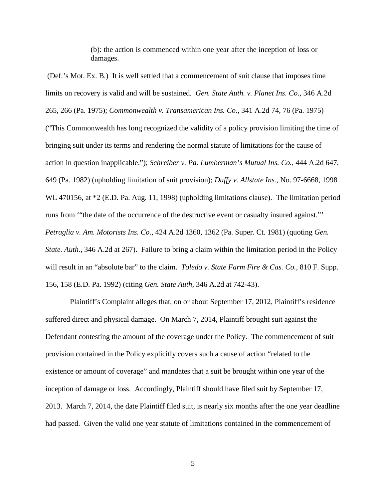(b): the action is commenced within one year after the inception of loss or damages.

(Def.'s Mot. Ex. B.) It is well settled that a commencement of suit clause that imposes time limits on recovery is valid and will be sustained. *Gen. State Auth. v. Planet Ins. Co.*, 346 A.2d 265, 266 (Pa. 1975); *Commonwealth v. Transamerican Ins. Co.*, 341 A.2d 74, 76 (Pa. 1975) ("This Commonwealth has long recognized the validity of a policy provision limiting the time of bringing suit under its terms and rendering the normal statute of limitations for the cause of action in question inapplicable."); *Schreiber v. Pa. Lumberman's Mutual Ins. Co.*, 444 A.2d 647, 649 (Pa. 1982) (upholding limitation of suit provision); *Duffy v. Allstate Ins.*, No. 97-6668, 1998 WL 470156, at \*2 (E.D. Pa. Aug. 11, 1998) (upholding limitations clause). The limitation period runs from '"the date of the occurrence of the destructive event or casualty insured against."' *Petraglia v. Am. Motorists Ins. Co.*, 424 A.2d 1360, 1362 (Pa. Super. Ct. 1981) (quoting *Gen. State. Auth.*, 346 A.2d at 267). Failure to bring a claim within the limitation period in the Policy will result in an "absolute bar" to the claim. *Toledo v. State Farm Fire & Cas. Co.*, 810 F. Supp. 156, 158 (E.D. Pa. 1992) (citing *Gen. State Auth*, 346 A.2d at 742-43).

Plaintiff's Complaint alleges that, on or about September 17, 2012, Plaintiff's residence suffered direct and physical damage. On March 7, 2014, Plaintiff brought suit against the Defendant contesting the amount of the coverage under the Policy. The commencement of suit provision contained in the Policy explicitly covers such a cause of action "related to the existence or amount of coverage" and mandates that a suit be brought within one year of the inception of damage or loss. Accordingly, Plaintiff should have filed suit by September 17, 2013. March 7, 2014, the date Plaintiff filed suit, is nearly six months after the one year deadline had passed. Given the valid one year statute of limitations contained in the commencement of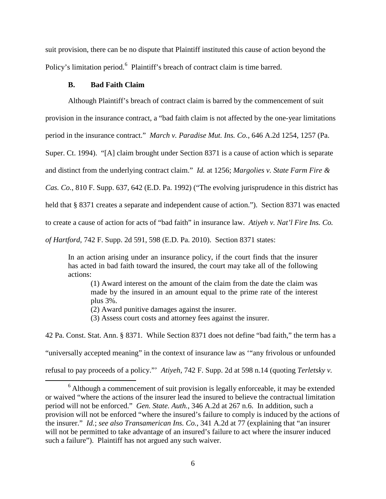suit provision, there can be no dispute that Plaintiff instituted this cause of action beyond the Policy's limitation period.<sup>[6](#page-5-0)</sup> Plaintiff's breach of contract claim is time barred.

## **B. Bad Faith Claim**

l

Although Plaintiff's breach of contract claim is barred by the commencement of suit

provision in the insurance contract, a "bad faith claim is not affected by the one-year limitations

period in the insurance contract." *March v. Paradise Mut. Ins. Co.*, 646 A.2d 1254, 1257 (Pa.

Super. Ct. 1994). "[A] claim brought under Section 8371 is a cause of action which is separate

and distinct from the underlying contract claim." *Id.* at 1256; *Margolies v. State Farm Fire &* 

*Cas. Co.*, 810 F. Supp. 637, 642 (E.D. Pa. 1992) ("The evolving jurisprudence in this district has

held that § 8371 creates a separate and independent cause of action."). Section 8371 was enacted

to create a cause of action for acts of "bad faith" in insurance law. *Atiyeh v. Nat'l Fire Ins. Co.* 

*of Hartford*, 742 F. Supp. 2d 591, 598 (E.D. Pa. 2010). Section 8371 states:

In an action arising under an insurance policy, if the court finds that the insurer has acted in bad faith toward the insured, the court may take all of the following actions:

(1) Award interest on the amount of the claim from the date the claim was made by the insured in an amount equal to the prime rate of the interest plus 3%.

(2) Award punitive damages against the insurer.

(3) Assess court costs and attorney fees against the insurer.

42 Pa. Const. Stat. Ann. § 8371. While Section 8371 does not define "bad faith," the term has a

"universally accepted meaning" in the context of insurance law as '"any frivolous or unfounded

refusal to pay proceeds of a policy."' *Atiyeh*, 742 F. Supp. 2d at 598 n.14 (quoting *Terletsky v.* 

<span id="page-5-0"></span> $6$  Although a commencement of suit provision is legally enforceable, it may be extended or waived "where the actions of the insurer lead the insured to believe the contractual limitation period will not be enforced." *Gen. State. Auth.*, 346 A.2d at 267 n.6. In addition, such a provision will not be enforced "where the insured's failure to comply is induced by the actions of the insurer." *Id.*; *see also Transamerican Ins. Co.*, 341 A.2d at 77 (explaining that "an insurer will not be permitted to take advantage of an insured's failure to act where the insurer induced such a failure"). Plaintiff has not argued any such waiver.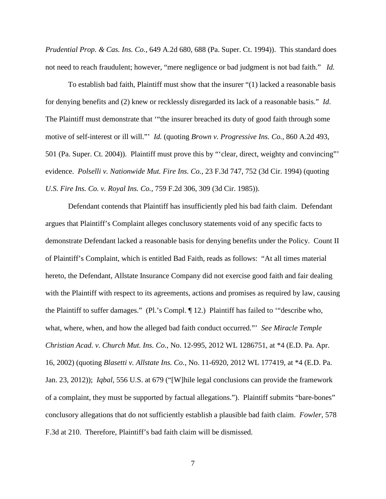*Prudential Prop. & Cas. Ins. Co.*, 649 A.2d 680, 688 (Pa. Super. Ct. 1994)). This standard does not need to reach fraudulent; however, "mere negligence or bad judgment is not bad faith." *Id.*

To establish bad faith, Plaintiff must show that the insurer "(1) lacked a reasonable basis for denying benefits and (2) knew or recklessly disregarded its lack of a reasonable basis." *Id*. The Plaintiff must demonstrate that '"the insurer breached its duty of good faith through some motive of self-interest or ill will."' *Id.* (quoting *Brown v. Progressive Ins. Co.*, 860 A.2d 493, 501 (Pa. Super. Ct. 2004)). Plaintiff must prove this by "'clear, direct, weighty and convincing"' evidence. *Polselli v. Nationwide Mut. Fire Ins. Co.*, 23 F.3d 747, 752 (3d Cir. 1994) (quoting *U.S. Fire Ins. Co. v. Royal Ins. Co.*, 759 F.2d 306, 309 (3d Cir. 1985)).

Defendant contends that Plaintiff has insufficiently pled his bad faith claim. Defendant argues that Plaintiff's Complaint alleges conclusory statements void of any specific facts to demonstrate Defendant lacked a reasonable basis for denying benefits under the Policy. Count II of Plaintiff's Complaint, which is entitled Bad Faith, reads as follows: "At all times material hereto, the Defendant, Allstate Insurance Company did not exercise good faith and fair dealing with the Plaintiff with respect to its agreements, actions and promises as required by law, causing the Plaintiff to suffer damages." (Pl.'s Compl. ¶ 12.) Plaintiff has failed to '"describe who, what, where, when, and how the alleged bad faith conduct occurred."' *See Miracle Temple Christian Acad. v. Church Mut. Ins. Co.*, No. 12-995, 2012 WL 1286751, at \*4 (E.D. Pa. Apr. 16, 2002) (quoting *Blasetti v. Allstate Ins. Co.*, No. 11-6920, 2012 WL 177419, at \*4 (E.D. Pa. Jan. 23, 2012)); *Iqbal*, 556 U.S. at 679 ("[W]hile legal conclusions can provide the framework of a complaint, they must be supported by factual allegations."). Plaintiff submits "bare-bones" conclusory allegations that do not sufficiently establish a plausible bad faith claim. *Fowler*, 578 F.3d at 210. Therefore, Plaintiff's bad faith claim will be dismissed.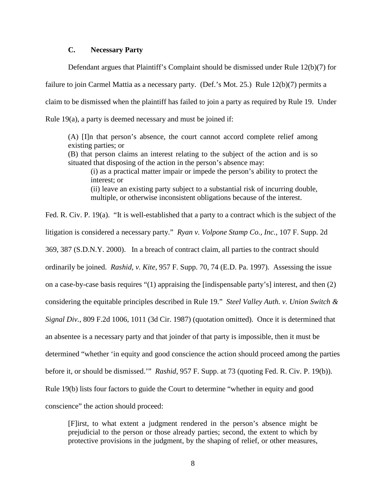## **C. Necessary Party**

Defendant argues that Plaintiff's Complaint should be dismissed under Rule 12(b)(7) for

failure to join Carmel Mattia as a necessary party. (Def.'s Mot. 25.) Rule 12(b)(7) permits a claim to be dismissed when the plaintiff has failed to join a party as required by Rule 19. Under Rule 19(a), a party is deemed necessary and must be joined if:

(A) [I]n that person's absence, the court cannot accord complete relief among existing parties; or

(B) that person claims an interest relating to the subject of the action and is so situated that disposing of the action in the person's absence may:

(i) as a practical matter impair or impede the person's ability to protect the interest; or (ii) leave an existing party subject to a substantial risk of incurring double, multiple, or otherwise inconsistent obligations because of the interest.

Fed. R. Civ. P. 19(a). "It is well-established that a party to a contract which is the subject of the litigation is considered a necessary party." *Ryan v. Volpone Stamp Co., Inc.*, 107 F. Supp. 2d 369, 387 (S.D.N.Y. 2000). In a breach of contract claim, all parties to the contract should ordinarily be joined. *Rashid*, *v. Kite*, 957 F. Supp. 70, 74 (E.D. Pa. 1997). Assessing the issue on a case-by-case basis requires "(1) appraising the [indispensable party's] interest, and then (2) considering the equitable principles described in Rule 19." *Steel Valley Auth. v. Union Switch & Signal Div.*, 809 F.2d 1006, 1011 (3d Cir. 1987) (quotation omitted). Once it is determined that an absentee is a necessary party and that joinder of that party is impossible, then it must be determined "whether 'in equity and good conscience the action should proceed among the parties before it, or should be dismissed.'" *Rashid*, 957 F. Supp. at 73 (quoting Fed. R. Civ. P. 19(b)). Rule 19(b) lists four factors to guide the Court to determine "whether in equity and good conscience" the action should proceed:

[F]irst, to what extent a judgment rendered in the person's absence might be prejudicial to the person or those already parties; second, the extent to which by protective provisions in the judgment, by the shaping of relief, or other measures,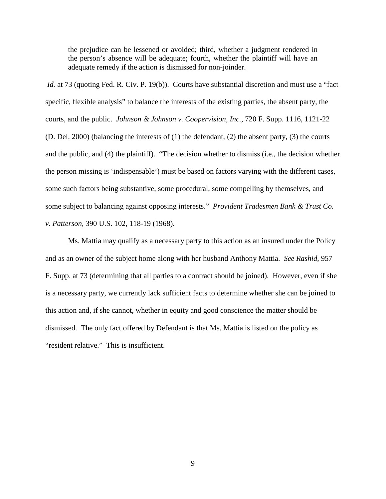the prejudice can be lessened or avoided; third, whether a judgment rendered in the person's absence will be adequate; fourth, whether the plaintiff will have an adequate remedy if the action is dismissed for non-joinder.

*Id.* at 73 (quoting Fed. R. Civ. P. 19(b)). Courts have substantial discretion and must use a "fact" specific, flexible analysis" to balance the interests of the existing parties, the absent party, the courts, and the public. *Johnson & Johnson v. Coopervision, Inc.*, 720 F. Supp. 1116, 1121-22 (D. Del. 2000) (balancing the interests of (1) the defendant, (2) the absent party, (3) the courts and the public, and (4) the plaintiff). "The decision whether to dismiss (i.e., the decision whether the person missing is 'indispensable') must be based on factors varying with the different cases, some such factors being substantive, some procedural, some compelling by themselves, and some subject to balancing against opposing interests." *Provident Tradesmen Bank & Trust Co. v. Patterson*, 390 U.S. 102, 118-19 (1968).

Ms. Mattia may qualify as a necessary party to this action as an insured under the Policy and as an owner of the subject home along with her husband Anthony Mattia. *See Rashid*, 957 F. Supp. at 73 (determining that all parties to a contract should be joined). However, even if she is a necessary party, we currently lack sufficient facts to determine whether she can be joined to this action and, if she cannot, whether in equity and good conscience the matter should be dismissed. The only fact offered by Defendant is that Ms. Mattia is listed on the policy as "resident relative." This is insufficient.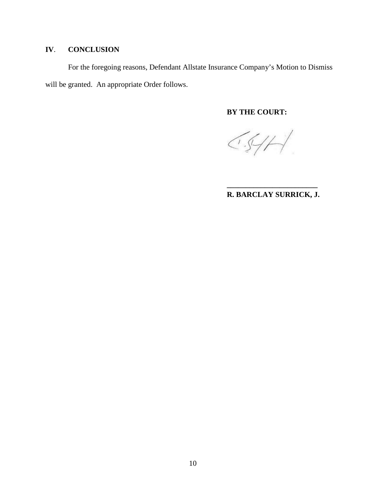# **IV**. **CONCLUSION**

For the foregoing reasons, Defendant Allstate Insurance Company's Motion to Dismiss will be granted. An appropriate Order follows.

# **BY THE COURT:**

 $\bigcirc \mathcal{A} \neq \bigcirc$ 

## **\_\_\_\_\_\_\_\_\_\_\_\_\_\_\_\_\_\_\_\_\_\_\_\_ R. BARCLAY SURRICK, J.**